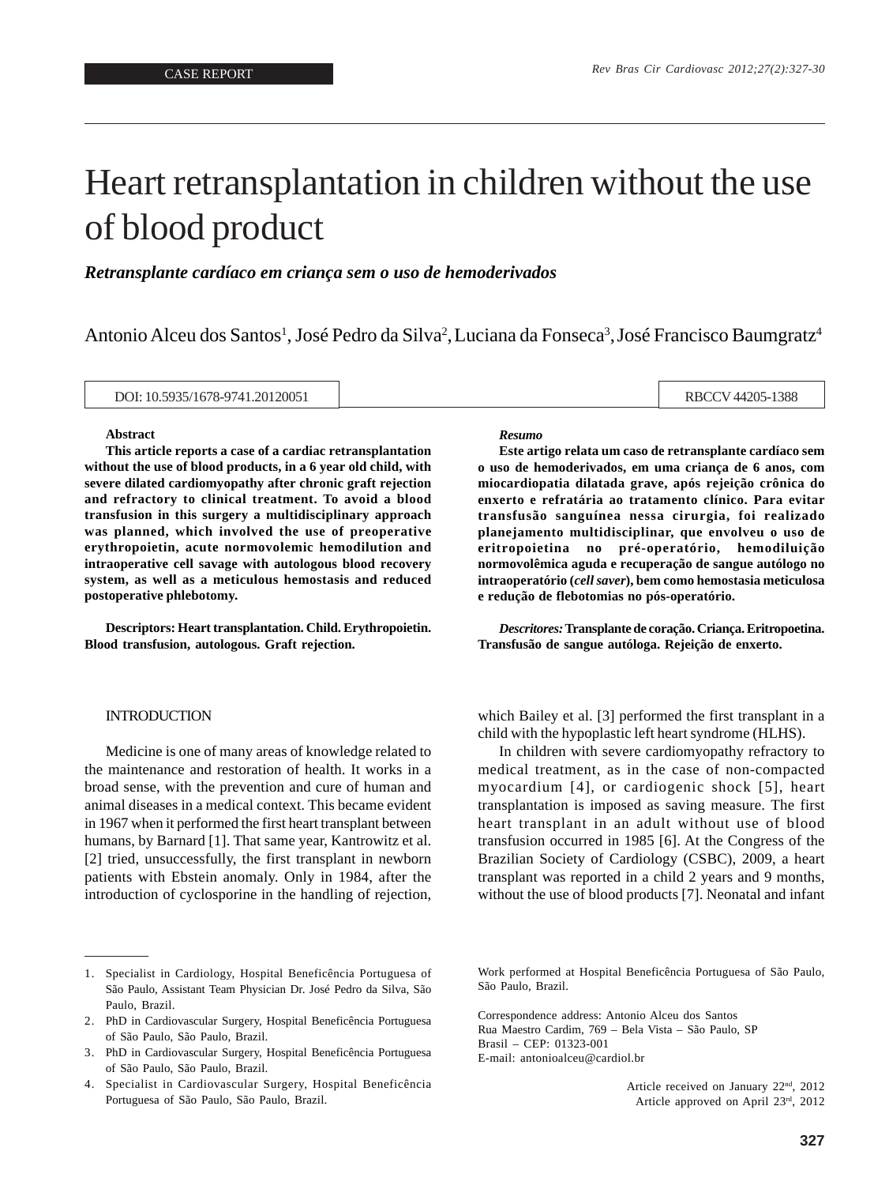# Heart retransplantation in children without the use of blood product

*Retransplante cardíaco em criança sem o uso de hemoderivados*

Antonio Alceu dos Santos<sup>1</sup>, José Pedro da Silva<sup>2</sup>, Luciana da Fonseca<sup>3</sup>, José Francisco Baumgratz<sup>4</sup>

DOI: 10.5935/1678-9741.20120051 RBCCV 44205-1388

### **Abstract**

**This article reports a case of a cardiac retransplantation without the use of blood products, in a 6 year old child, with severe dilated cardiomyopathy after chronic graft rejection and refractory to clinical treatment. To avoid a blood transfusion in this surgery a multidisciplinary approach was planned, which involved the use of preoperative erythropoietin, acute normovolemic hemodilution and intraoperative cell savage with autologous blood recovery system, as well as a meticulous hemostasis and reduced postoperative phlebotomy.**

**Descriptors: Heart transplantation. Child. Erythropoietin. Blood transfusion, autologous. Graft rejection.**

# INTRODUCTION

Medicine is one of many areas of knowledge related to the maintenance and restoration of health. It works in a broad sense, with the prevention and cure of human and animal diseases in a medical context. This became evident in 1967 when it performed the first heart transplant between humans, by Barnard [1]. That same year, Kantrowitz et al. [2] tried, unsuccessfully, the first transplant in newborn patients with Ebstein anomaly. Only in 1984, after the introduction of cyclosporine in the handling of rejection,

#### *Resumo*

**Este artigo relata um caso de retransplante cardíaco sem o uso de hemoderivados, em uma criança de 6 anos, com miocardiopatia dilatada grave, após rejeição crônica do enxerto e refratária ao tratamento clínico. Para evitar transfusão sanguínea nessa cirurgia, foi realizado planejamento multidisciplinar, que envolveu o uso de eritropoietina no pré-operatório, hemodiluição normovolêmica aguda e recuperação de sangue autólogo no intraoperatório (***cell saver***), bem como hemostasia meticulosa e redução de flebotomias no pós-operatório.**

*Descritores:* **Transplante de coração. Criança. Eritropoetina. Transfusão de sangue autóloga. Rejeição de enxerto.**

which Bailey et al. [3] performed the first transplant in a child with the hypoplastic left heart syndrome (HLHS).

In children with severe cardiomyopathy refractory to medical treatment, as in the case of non-compacted myocardium [4], or cardiogenic shock [5], heart transplantation is imposed as saving measure. The first heart transplant in an adult without use of blood transfusion occurred in 1985 [6]. At the Congress of the Brazilian Society of Cardiology (CSBC), 2009, a heart transplant was reported in a child 2 years and 9 months, without the use of blood products [7]. Neonatal and infant

Work performed at Hospital Beneficência Portuguesa of São Paulo, São Paulo, Brazil.

Correspondence address: Antonio Alceu dos Santos Rua Maestro Cardim, 769 – Bela Vista – São Paulo, SP Brasil – CEP: 01323-001 E-mail: antonioalceu@cardiol.br

> Article received on January 22<sup>nd</sup>, 2012 Article approved on April 23rd, 2012

<sup>1.</sup> Specialist in Cardiology, Hospital Beneficência Portuguesa of São Paulo, Assistant Team Physician Dr. José Pedro da Silva, São Paulo, Brazil.

<sup>2.</sup> PhD in Cardiovascular Surgery, Hospital Beneficência Portuguesa of São Paulo, São Paulo, Brazil.

<sup>3.</sup> PhD in Cardiovascular Surgery, Hospital Beneficência Portuguesa of São Paulo, São Paulo, Brazil.

<sup>4.</sup> Specialist in Cardiovascular Surgery, Hospital Beneficência Portuguesa of São Paulo, São Paulo, Brazil.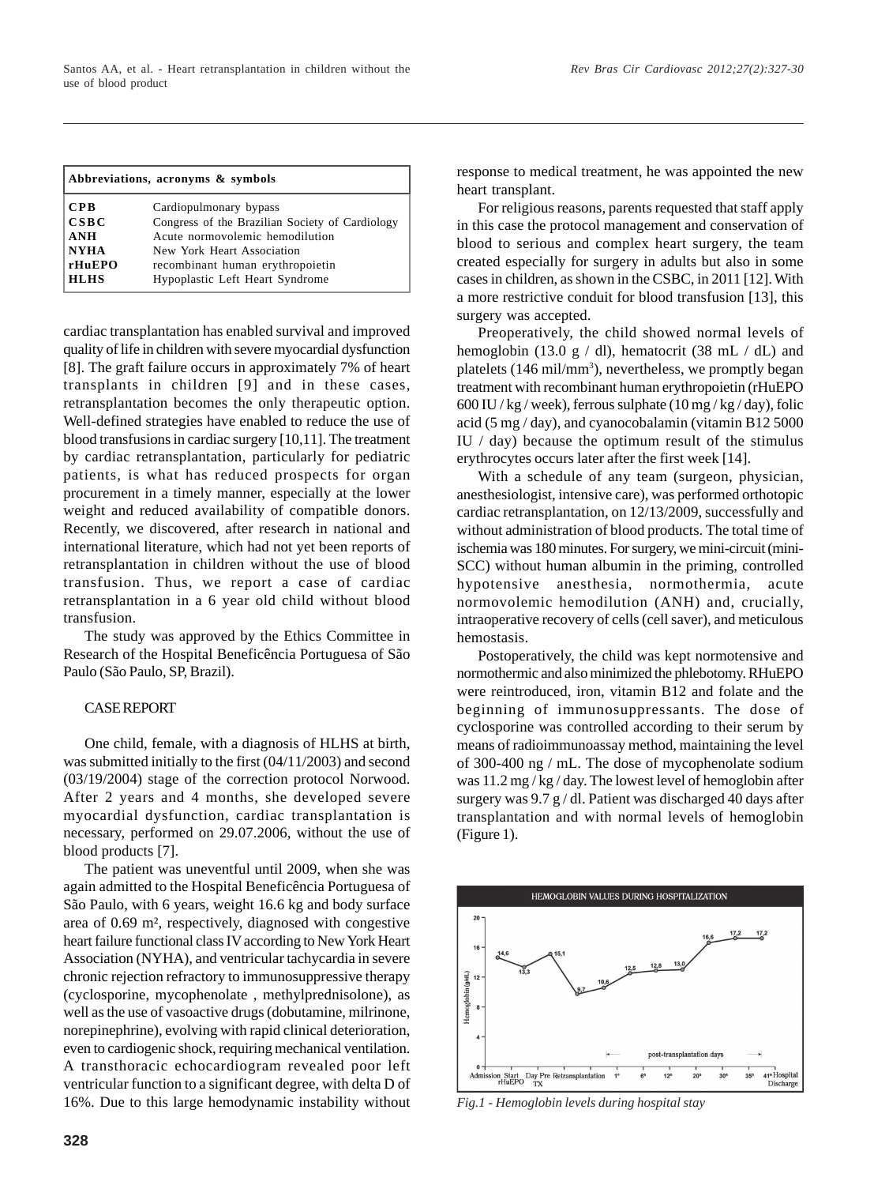| Abbreviations, acronyms & symbols |                                                 |
|-----------------------------------|-------------------------------------------------|
| <b>CPB</b>                        | Cardiopulmonary bypass                          |
| CSBC                              | Congress of the Brazilian Society of Cardiology |
| <b>ANH</b>                        | Acute normovolemic hemodilution                 |
| <b>NYHA</b>                       | New York Heart Association                      |
| rHuEPO                            | recombinant human erythropoietin                |
| <b>HLHS</b>                       | Hypoplastic Left Heart Syndrome                 |

cardiac transplantation has enabled survival and improved quality of life in children with severe myocardial dysfunction [8]. The graft failure occurs in approximately 7% of heart transplants in children [9] and in these cases, retransplantation becomes the only therapeutic option. Well-defined strategies have enabled to reduce the use of blood transfusions in cardiac surgery [10,11]. The treatment by cardiac retransplantation, particularly for pediatric patients, is what has reduced prospects for organ procurement in a timely manner, especially at the lower weight and reduced availability of compatible donors. Recently, we discovered, after research in national and international literature, which had not yet been reports of retransplantation in children without the use of blood transfusion. Thus, we report a case of cardiac retransplantation in a 6 year old child without blood transfusion.

The study was approved by the Ethics Committee in Research of the Hospital Beneficência Portuguesa of São Paulo (São Paulo, SP, Brazil).

# CASE REPORT

One child, female, with a diagnosis of HLHS at birth, was submitted initially to the first (04/11/2003) and second (03/19/2004) stage of the correction protocol Norwood. After 2 years and 4 months, she developed severe myocardial dysfunction, cardiac transplantation is necessary, performed on 29.07.2006, without the use of blood products [7].

The patient was uneventful until 2009, when she was again admitted to the Hospital Beneficência Portuguesa of São Paulo, with 6 years, weight 16.6 kg and body surface area of 0.69 m², respectively, diagnosed with congestive heart failure functional class IV according to New York Heart Association (NYHA), and ventricular tachycardia in severe chronic rejection refractory to immunosuppressive therapy (cyclosporine, mycophenolate , methylprednisolone), as well as the use of vasoactive drugs (dobutamine, milrinone, norepinephrine), evolving with rapid clinical deterioration, even to cardiogenic shock, requiring mechanical ventilation. A transthoracic echocardiogram revealed poor left ventricular function to a significant degree, with delta D of 16%. Due to this large hemodynamic instability without *Fig.1 - Hemoglobin levels during hospital stay*

response to medical treatment, he was appointed the new heart transplant.

For religious reasons, parents requested that staff apply in this case the protocol management and conservation of blood to serious and complex heart surgery, the team created especially for surgery in adults but also in some cases in children, as shown in the CSBC, in 2011 [12]. With a more restrictive conduit for blood transfusion [13], this surgery was accepted.

Preoperatively, the child showed normal levels of hemoglobin (13.0 g / dl), hematocrit (38 mL / dL) and platelets (146 mil/mm<sup>3</sup>), nevertheless, we promptly began treatment with recombinant human erythropoietin (rHuEPO  $600$  IU / kg / week), ferrous sulphate  $(10$  mg / kg / day), folic acid (5 mg / day), and cyanocobalamin (vitamin B12 5000 IU / day) because the optimum result of the stimulus erythrocytes occurs later after the first week [14].

With a schedule of any team (surgeon, physician, anesthesiologist, intensive care), was performed orthotopic cardiac retransplantation, on 12/13/2009, successfully and without administration of blood products. The total time of ischemia was 180 minutes. For surgery, we mini-circuit (mini-SCC) without human albumin in the priming, controlled hypotensive anesthesia, normothermia, acute normovolemic hemodilution (ANH) and, crucially, intraoperative recovery of cells (cell saver), and meticulous hemostasis.

Postoperatively, the child was kept normotensive and normothermic and also minimized the phlebotomy. RHuEPO were reintroduced, iron, vitamin B12 and folate and the beginning of immunosuppressants. The dose of cyclosporine was controlled according to their serum by means of radioimmunoassay method, maintaining the level of 300-400 ng / mL. The dose of mycophenolate sodium was 11.2 mg / kg / day. The lowest level of hemoglobin after surgery was 9.7 g / dl. Patient was discharged 40 days after transplantation and with normal levels of hemoglobin (Figure 1).

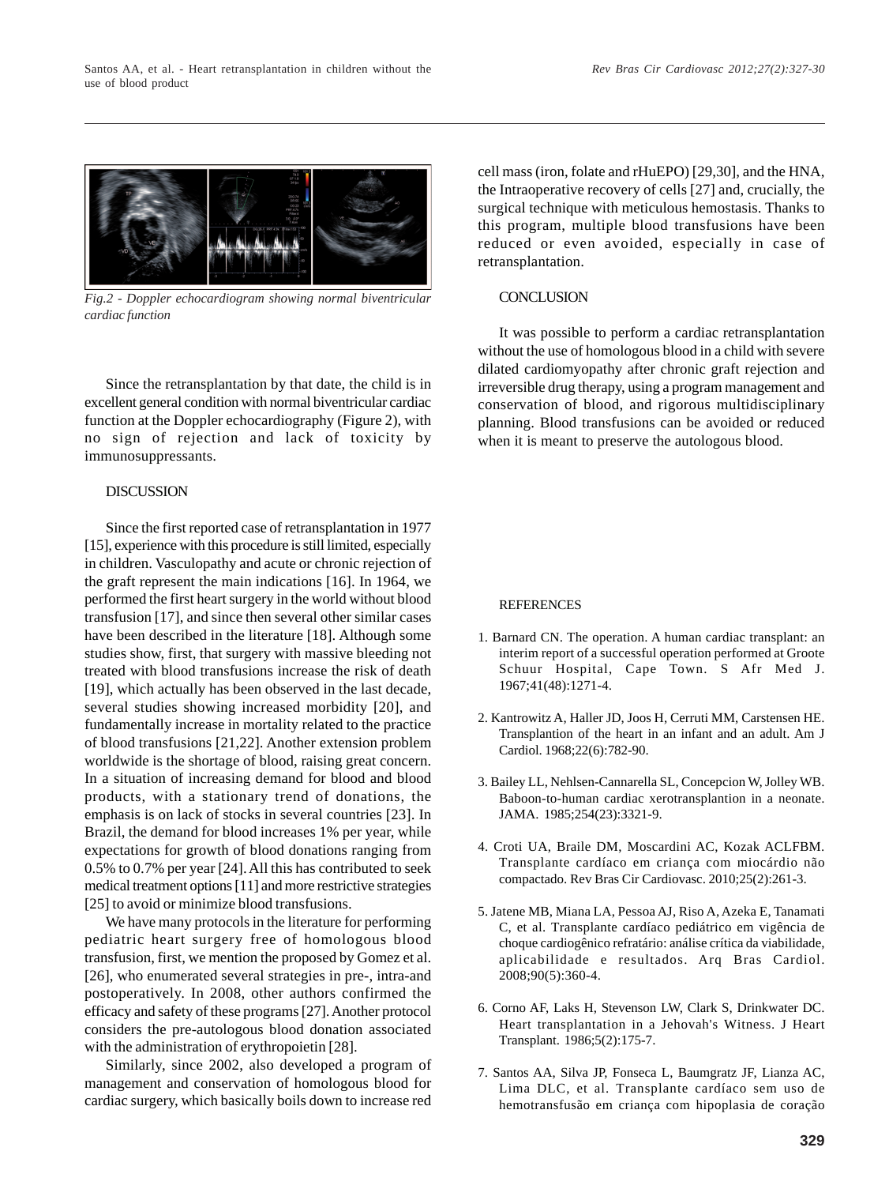

*Fig.2 - Doppler echocardiogram showing normal biventricular cardiac function*

Since the retransplantation by that date, the child is in excellent general condition with normal biventricular cardiac function at the Doppler echocardiography (Figure 2), with no sign of rejection and lack of toxicity by immunosuppressants.

# DISCUSSION

Since the first reported case of retransplantation in 1977 [15], experience with this procedure is still limited, especially in children. Vasculopathy and acute or chronic rejection of the graft represent the main indications [16]. In 1964, we performed the first heart surgery in the world without blood transfusion [17], and since then several other similar cases have been described in the literature [18]. Although some studies show, first, that surgery with massive bleeding not treated with blood transfusions increase the risk of death [19], which actually has been observed in the last decade, several studies showing increased morbidity [20], and fundamentally increase in mortality related to the practice of blood transfusions [21,22]. Another extension problem worldwide is the shortage of blood, raising great concern. In a situation of increasing demand for blood and blood products, with a stationary trend of donations, the emphasis is on lack of stocks in several countries [23]. In Brazil, the demand for blood increases 1% per year, while expectations for growth of blood donations ranging from 0.5% to 0.7% per year [24]. All this has contributed to seek medical treatment options [11] and more restrictive strategies [25] to avoid or minimize blood transfusions.

We have many protocols in the literature for performing pediatric heart surgery free of homologous blood transfusion, first, we mention the proposed by Gomez et al. [26], who enumerated several strategies in pre-, intra-and postoperatively. In 2008, other authors confirmed the efficacy and safety of these programs [27]. Another protocol considers the pre-autologous blood donation associated with the administration of erythropoietin [28].

Similarly, since 2002, also developed a program of management and conservation of homologous blood for cardiac surgery, which basically boils down to increase red

cell mass (iron, folate and rHuEPO) [29,30], and the HNA, the Intraoperative recovery of cells [27] and, crucially, the surgical technique with meticulous hemostasis. Thanks to this program, multiple blood transfusions have been reduced or even avoided, especially in case of retransplantation.

# **CONCLUSION**

It was possible to perform a cardiac retransplantation without the use of homologous blood in a child with severe dilated cardiomyopathy after chronic graft rejection and irreversible drug therapy, using a program management and conservation of blood, and rigorous multidisciplinary planning. Blood transfusions can be avoided or reduced when it is meant to preserve the autologous blood.

## REFERENCES

- 1. Barnard CN. The operation. A human cardiac transplant: an interim report of a successful operation performed at Groote Schuur Hospital, Cape Town. S Afr Med J. 1967;41(48):1271-4.
- 2. Kantrowitz A, Haller JD, Joos H, Cerruti MM, Carstensen HE. Transplantion of the heart in an infant and an adult. Am J Cardiol. 1968;22(6):782-90.
- 3. Bailey LL, Nehlsen-Cannarella SL, Concepcion W, Jolley WB. Baboon-to-human cardiac xerotransplantion in a neonate. JAMA. 1985;254(23):3321-9.
- 4. Croti UA, Braile DM, Moscardini AC, Kozak ACLFBM. Transplante cardíaco em criança com miocárdio não compactado. Rev Bras Cir Cardiovasc. 2010;25(2):261-3.
- 5. Jatene MB, Miana LA, Pessoa AJ, Riso A, Azeka E, Tanamati C, et al. Transplante cardíaco pediátrico em vigência de choque cardiogênico refratário: análise crítica da viabilidade, aplicabilidade e resultados. Arq Bras Cardiol. 2008;90(5):360-4.
- 6. Corno AF, Laks H, Stevenson LW, Clark S, Drinkwater DC. Heart transplantation in a Jehovah's Witness. J Heart Transplant. 1986;5(2):175-7.
- 7. Santos AA, Silva JP, Fonseca L, Baumgratz JF, Lianza AC, Lima DLC, et al. Transplante cardíaco sem uso de hemotransfusão em criança com hipoplasia de coração